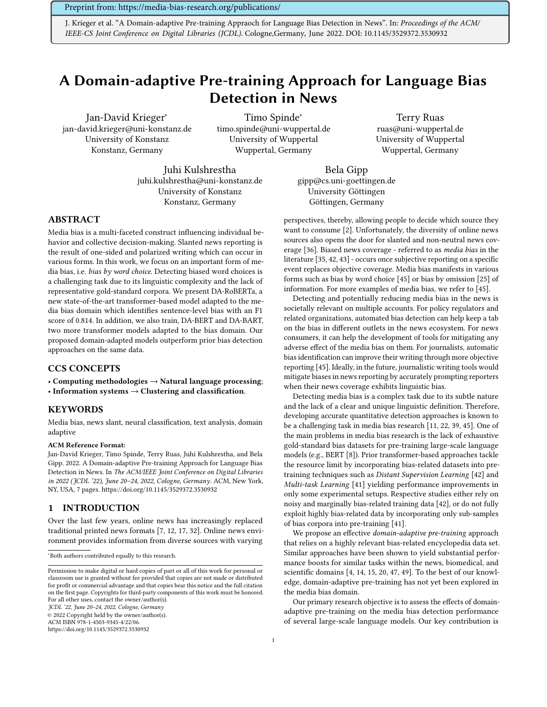Preprint from: https://media-bias-research.org/publications/

J. Krieger et al. "A Domain-adaptive Pre-training Appraoch for Language Bias Detection in News". In: *Proceedings of the ACM/ IEEE-CS Joint Conference on Digital Libraries (JCDL).* Cologne,Germany, June 2022. DOI: 10.1145/3529372.3530932

# A Domain-adaptive Pre-training Approach for Language Bias Detection in News

Jan-David Krieger<sup>∗</sup> jan-david.krieger@uni-konstanz.de University of Konstanz Konstanz, Germany

Timo Spinde<sup>∗</sup> timo.spinde@uni-wuppertal.de University of Wuppertal Wuppertal, Germany

Terry Ruas ruas@uni-wuppertal.de University of Wuppertal Wuppertal, Germany

Juhi Kulshrestha juhi.kulshrestha@uni-konstanz.de University of Konstanz Konstanz, Germany

Bela Gipp gipp@cs.uni-goettingen.de University Göttingen Göttingen, Germany

# ABSTRACT

Media bias is a multi-faceted construct influencing individual behavior and collective decision-making. Slanted news reporting is the result of one-sided and polarized writing which can occur in various forms. In this work, we focus on an important form of media bias, i.e. bias by word choice. Detecting biased word choices is a challenging task due to its linguistic complexity and the lack of representative gold-standard corpora. We present DA-RoBERTa, a new state-of-the-art transformer-based model adapted to the media bias domain which identifies sentence-level bias with an F1 score of 0.814. In addition, we also train, DA-BERT and DA-BART, two more transformer models adapted to the bias domain. Our proposed domain-adapted models outperform prior bias detection approaches on the same data.

# CCS CONCEPTS

• Computing methodologies  $\rightarrow$  Natural language processing; • Information systems  $\rightarrow$  Clustering and classification.

# KEYWORDS

Media bias, news slant, neural classification, text analysis, domain adaptive

#### ACM Reference Format:

Jan-David Krieger, Timo Spinde, Terry Ruas, Juhi Kulshrestha, and Bela Gipp. 2022. A Domain-adaptive Pre-training Approach for Language Bias Detection in News. In The ACM/IEEE Joint Conference on Digital Libraries in 2022 (JCDL '22), June 20–24, 2022, Cologne, Germany. ACM, New York, NY, USA, [7](#page-6-0) pages.<https://doi.org/10.1145/3529372.3530932>

#### 1 INTRODUCTION

Over the last few years, online news has increasingly replaced traditional printed news formats [\[7,](#page-5-0) [12,](#page-5-1) [17,](#page-5-2) [32\]](#page-5-3). Online news environment provides information from diverse sources with varying

JCDL '22, June 20–24, 2022, Cologne, Germany

© 2022 Copyright held by the owner/author(s).

ACM ISBN 978-1-4503-9345-4/22/06.

<https://doi.org/10.1145/3529372.3530932>

1

perspectives, thereby, allowing people to decide which source they want to consume [\[2\]](#page-4-0). Unfortunately, the diversity of online news sources also opens the door for slanted and non-neutral news coverage [\[36\]](#page-5-4). Biased news coverage - referred to as media bias in the literature [\[35,](#page-5-5) [42,](#page-6-1) [43\]](#page-6-2) - occurs once subjective reporting on a specific event replaces objective coverage. Media bias manifests in various forms such as bias by word choice [\[45\]](#page-6-3) or bias by omission [\[25\]](#page-5-6) of information. For more examples of media bias, we refer to [\[45\]](#page-6-3).

Detecting and potentially reducing media bias in the news is societally relevant on multiple accounts. For policy regulators and related organizations, automated bias detection can help keep a tab on the bias in different outlets in the news ecosystem. For news consumers, it can help the development of tools for mitigating any adverse effect of the media bias on them. For journalists, automatic bias identification can improve their writing through more objective reporting [\[45\]](#page-6-3). Ideally, in the future, journalistic writing tools would mitigate biases in news reporting by accurately prompting reporters when their news coverage exhibits linguistic bias.

Detecting media bias is a complex task due to its subtle nature and the lack of a clear and unique linguistic definition. Therefore, developing accurate quantitative detection approaches is known to be a challenging task in media bias research [\[11,](#page-5-7) [22,](#page-5-8) [39,](#page-5-9) [45\]](#page-6-3). One of the main problems in media bias research is the lack of exhaustive gold-standard bias datasets for pre-training large-scale language models (e.g., BERT [\[8\]](#page-5-10)). Prior transformer-based approaches tackle the resource limit by incorporating bias-related datasets into pretraining techniques such as Distant Supervision Learning [\[42\]](#page-6-1) and Multi-task Learning [\[41\]](#page-5-11) yielding performance improvements in only some experimental setups. Respective studies either rely on noisy and marginally bias-related training data [\[42\]](#page-6-1), or do not fully exploit highly bias-related data by incorporating only sub-samples of bias corpora into pre-training [\[41\]](#page-5-11).

We propose an effective *domain-adaptive pre-training* approach that relies on a highly relevant bias-related encyclopedia data set. Similar approaches have been shown to yield substantial performance boosts for similar tasks within the news, biomedical, and scientific domains [\[4,](#page-4-1) [14,](#page-5-12) [15,](#page-5-13) [20,](#page-5-14) [47,](#page-6-4) [49\]](#page-6-5). To the best of our knowledge, domain-adaptive pre-training has not yet been explored in the media bias domain.

Our primary research objective is to assess the effects of domainadaptive pre-training on the media bias detection performance of several large-scale language models. Our key contribution is

<sup>∗</sup>Both authors contributed equally to this research.

Permission to make digital or hard copies of part or all of this work for personal or classroom use is granted without fee provided that copies are not made or distributed for profit or commercial advantage and that copies bear this notice and the full citation on the first page. Copyrights for third-party components of this work must be honored. For all other uses, contact the owner/author(s).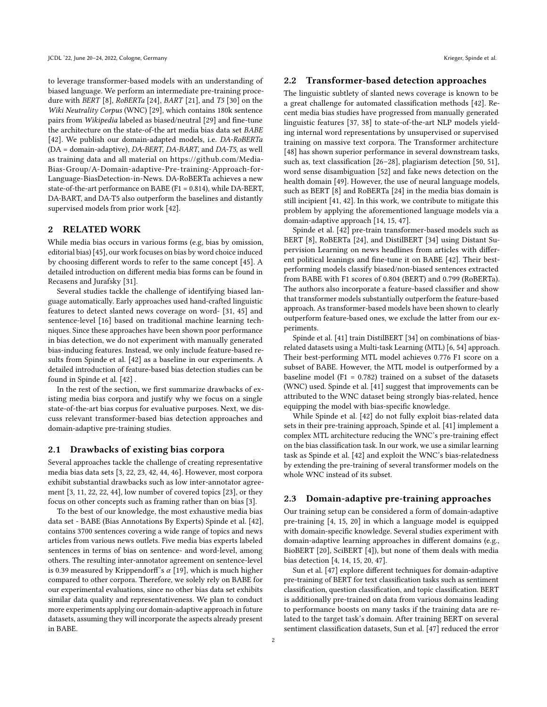to leverage transformer-based models with an understanding of biased language. We perform an intermediate pre-training procedure with BERT [\[8\]](#page-5-10), RoBERTa [\[24\]](#page-5-15), BART [\[21\]](#page-5-16), and T5 [\[30\]](#page-5-17) on the Wiki Neutrality Corpus (WNC) [\[29\]](#page-5-18), which contains 180k sentence pairs from Wikipedia labeled as biased/neutral [\[29\]](#page-5-18) and fine-tune the architecture on the state-of-the art media bias data set BABE [\[42\]](#page-6-1). We publish our domain-adapted models, i.e. DA-RoBERTa (DA = domain-adaptive), DA-BERT, DA-BART, and DA-T5, as well as training data and all material on [https://github.com/Media-](https://github.com/Media-Bias-Group/A-Domain-adaptive-Pre-training-Approach-for-Language-BiasDetection-in-News)[Bias-Group/A-Domain-adaptive-Pre- training-Approach- for-](https://github.com/Media-Bias-Group/A-Domain-adaptive-Pre-training-Approach-for-Language-BiasDetection-in-News)[Language-BiasDetection-in-News.](https://github.com/Media-Bias-Group/A-Domain-adaptive-Pre-training-Approach-for-Language-BiasDetection-in-News) DA-RoBERTa achieves a new state-of-the-art performance on BABE (F1 = 0.814), while DA-BERT, DA-BART, and DA-T5 also outperform the baselines and distantly supervised models from prior work [\[42\]](#page-6-1).

# 2 RELATED WORK

While media bias occurs in various forms (e.g, bias by omission, editorial bias) [\[45\]](#page-6-3), our work focuses on bias by word choice induced by choosing different words to refer to the same concept [\[45\]](#page-6-3). A detailed introduction on different media bias forms can be found in Recasens and Jurafsky [\[31\]](#page-5-19).

Several studies tackle the challenge of identifying biased language automatically. Early approaches used hand-crafted linguistic features to detect slanted news coverage on word- [\[31,](#page-5-19) [45\]](#page-6-3) and sentence-level [\[16\]](#page-5-20) based on traditional machine learning techniques. Since these approaches have been shown poor performance in bias detection, we do not experiment with manually generated bias-inducing features. Instead, we only include feature-based results from Spinde et al. [\[42\]](#page-6-1) as a baseline in our experiments. A detailed introduction of feature-based bias detection studies can be found in Spinde et al. [\[42\]](#page-6-1) .

In the rest of the section, we first summarize drawbacks of existing media bias corpora and justify why we focus on a single state-of-the-art bias corpus for evaluative purposes. Next, we discuss relevant transformer-based bias detection approaches and domain-adaptive pre-training studies.

#### 2.1 Drawbacks of existing bias corpora

Several approaches tackle the challenge of creating representative media bias data sets [\[3,](#page-4-2) [22,](#page-5-8) [23,](#page-5-21) [42,](#page-6-1) [44,](#page-6-6) [46\]](#page-6-7). However, most corpora exhibit substantial drawbacks such as low inter-annotator agreement [\[3,](#page-4-2) [11,](#page-5-7) [22,](#page-5-8) [22,](#page-5-8) [44\]](#page-6-6), low number of covered topics [\[23\]](#page-5-21), or they focus on other concepts such as framing rather than on bias [\[3\]](#page-4-2).

To the best of our knowledge, the most exhaustive media bias data set - BABE (Bias Annotations By Experts) Spinde et al. [\[42\]](#page-6-1), contains 3700 sentences covering a wide range of topics and news articles from various news outlets. Five media bias experts labeled sentences in terms of bias on sentence- and word-level, among others. The resulting inter-annotator agreement on sentence-level is 0.39 measured by Krippendorff's  $\alpha$  [\[19\]](#page-5-22), which is much higher compared to other corpora. Therefore, we solely rely on BABE for our experimental evaluations, since no other bias data set exhibits similar data quality and representativeness. We plan to conduct more experiments applying our domain-adaptive approach in future datasets, assuming they will incorporate the aspects already present in BABE.

# <span id="page-1-0"></span>2.2 Transformer-based detection approaches

The linguistic subtlety of slanted news coverage is known to be a great challenge for automated classification methods [\[42\]](#page-6-1). Recent media bias studies have progressed from manually generated linguistic features [\[37,](#page-5-23) [38\]](#page-5-24) to state-of-the-art NLP models yielding internal word representations by unsupervised or supervised training on massive text corpora. The Transformer architecture [\[48\]](#page-6-8) has shown superior performance in several downstream tasks, such as, text classification [\[26](#page-5-25)[–28\]](#page-5-26), plagiarism detection [\[50,](#page-6-9) [51\]](#page-6-10), word sense disambiguation [\[52\]](#page-6-11) and fake news detection on the health domain [\[49\]](#page-6-5). However, the use of neural language models, such as BERT [\[8\]](#page-5-10) and RoBERTa [\[24\]](#page-5-15) in the media bias domain is still incipient [\[41,](#page-5-11) [42\]](#page-6-1). In this work, we contribute to mitigate this problem by applying the aforementioned language models via a domain-adaptive approach [\[14,](#page-5-12) [15,](#page-5-13) [47\]](#page-6-4).

Spinde et al. [\[42\]](#page-6-1) pre-train transformer-based models such as BERT [\[8\]](#page-5-10), RoBERTa [\[24\]](#page-5-15), and DistilBERT [\[34\]](#page-5-27) using Distant Supervision Learning on news headlines from articles with different political leanings and fine-tune it on BABE [\[42\]](#page-6-1). Their bestperforming models classify biased/non-biased sentences extracted from BABE with F1 scores of 0.804 (BERT) and 0.799 (RoBERTa). The authors also incorporate a feature-based classifier and show that transformer models substantially outperform the feature-based approach. As transformer-based models have been shown to clearly outperform feature-based ones, we exclude the latter from our experiments.

Spinde et al. [\[41\]](#page-5-11) train DistilBERT [\[34\]](#page-5-27) on combinations of biasrelated datasets using a Multi-task Learning (MTL) [\[6,](#page-5-28) [54\]](#page-6-12) approach. Their best-performing MTL model achieves 0.776 F1 score on a subset of BABE. However, the MTL model is outperformed by a baseline model (F1 =  $0.782$ ) trained on a subset of the datasets (WNC) used. Spinde et al. [\[41\]](#page-5-11) suggest that improvements can be attributed to the WNC dataset being strongly bias-related, hence equipping the model with bias-specific knowledge.

While Spinde et al. [\[42\]](#page-6-1) do not fully exploit bias-related data sets in their pre-training approach, Spinde et al. [\[41\]](#page-5-11) implement a complex MTL architecture reducing the WNC's pre-training effect on the bias classification task. In our work, we use a similar learning task as Spinde et al. [\[42\]](#page-6-1) and exploit the WNC's bias-relatedness by extending the pre-training of several transformer models on the whole WNC instead of its subset.

#### 2.3 Domain-adaptive pre-training approaches

Our training setup can be considered a form of domain-adaptive pre-training [\[4,](#page-4-1) [15,](#page-5-13) [20\]](#page-5-14) in which a language model is equipped with domain-specific knowledge. Several studies experiment with domain-adaptive learning approaches in different domains (e.g., BioBERT [\[20\]](#page-5-14), SciBERT [\[4\]](#page-4-1)), but none of them deals with media bias detection [\[4,](#page-4-1) [14,](#page-5-12) [15,](#page-5-13) [20,](#page-5-14) [47\]](#page-6-4).

Sun et al. [\[47\]](#page-6-4) explore different techniques for domain-adaptive pre-training of BERT for text classification tasks such as sentiment classification, question classification, and topic classification. BERT is additionally pre-trained on data from various domains leading to performance boosts on many tasks if the training data are related to the target task's domain. After training BERT on several sentiment classification datasets, Sun et al. [\[47\]](#page-6-4) reduced the error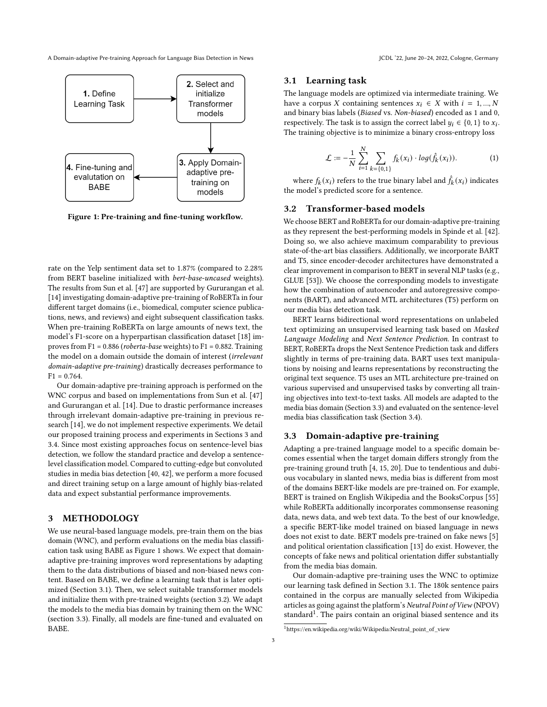A Domain-adaptive Pre-training Approach for Language Bias Detection in News JCDL '22, June 20-24, 2022, Cologne, Germany

<span id="page-2-1"></span>

Figure 1: Pre-training and fine-tuning workflow.

rate on the Yelp sentiment data set to 1.87% (compared to 2.28% from BERT baseline initialized with bert-base-uncased weights). The results from Sun et al. [\[47\]](#page-6-4) are supported by Gururangan et al. [\[14\]](#page-5-12) investigating domain-adaptive pre-training of RoBERTa in four different target domains (i.e., biomedical, computer science publications, news, and reviews) and eight subsequent classification tasks. When pre-training RoBERTa on large amounts of news text, the model's F1-score on a hyperpartisan classification dataset [\[18\]](#page-5-29) improves from F1 =  $0.886$  (*roberta-base* weights) to F1 =  $0.882$ . Training the model on a domain outside the domain of interest (irrelevant domain-adaptive pre-training) drastically decreases performance to  $F1 = 0.764$ .

Our domain-adaptive pre-training approach is performed on the WNC corpus and based on implementations from Sun et al. [\[47\]](#page-6-4) and Gururangan et al. [\[14\]](#page-5-12). Due to drastic performance increases through irrelevant domain-adaptive pre-training in previous research [\[14\]](#page-5-12), we do not implement respective experiments. We detail our proposed training process and experiments in Sections [3](#page-2-0) and [3.4.](#page-3-0) Since most existing approaches focus on sentence-level bias detection, we follow the standard practice and develop a sentencelevel classification model. Compared to cutting-edge but convoluted studies in media bias detection [\[40,](#page-5-30) [42\]](#page-6-1), we perform a more focused and direct training setup on a large amount of highly bias-related data and expect substantial performance improvements.

# <span id="page-2-0"></span>3 METHODOLOGY

We use neural-based language models, pre-train them on the bias domain (WNC), and perform evaluations on the media bias classification task using BABE as Figure [1](#page-2-1) shows. We expect that domainadaptive pre-training improves word representations by adapting them to the data distributions of biased and non-biased news content. Based on BABE, we define a learning task that is later optimized (Section [3.1\)](#page-2-2). Then, we select suitable transformer models and initialize them with pre-trained weights (section [3.2\)](#page-2-3). We adapt the models to the media bias domain by training them on the WNC (section [3.3\)](#page-2-4). Finally, all models are fine-tuned and evaluated on BABE.

#### <span id="page-2-2"></span>3.1 Learning task

The language models are optimized via intermediate training. We have a corpus X containing sentences  $x_i \in X$  with  $i = 1, ..., N$ and binary bias labels (Biased vs. Non-biased) encoded as 1 and 0, respectively. The task is to assign the correct label  $y_i \in \{0, 1\}$  to  $x_i$ . The training objective is to minimize a binary cross-entropy loss

$$
\mathcal{L} := -\frac{1}{N} \sum_{i=1}^{N} \sum_{k=\{0,1\}} f_k(x_i) \cdot \log(\hat{f}_k(x_i)).
$$
 (1)

where  $f_k(x_i)$  refers to the true binary label and  $\hat{f}_k(x_i)$  indicates the model's predicted score for a sentence.

#### <span id="page-2-3"></span>3.2 Transformer-based models

We choose BERT and RoBERTa for our domain-adaptive pre-training as they represent the best-performing models in Spinde et al. [\[42\]](#page-6-1). Doing so, we also achieve maximum comparability to previous state-of-the-art bias classifiers. Additionally, we incorporate BART and T5, since encoder-decoder architectures have demonstrated a clear improvement in comparison to BERT in several NLP tasks (e.g., GLUE [\[53\]](#page-6-13)). We choose the corresponding models to investigate how the combination of autoencoder and autoregressive components (BART), and advanced MTL architectures (T5) perform on our media bias detection task.

BERT learns bidirectional word representations on unlabeled text optimizing an unsupervised learning task based on Masked Language Modeling and Next Sentence Prediction. In contrast to BERT, RoBERTa drops the Next Sentence Prediction task and differs slightly in terms of pre-training data. BART uses text manipulations by noising and learns representations by reconstructing the original text sequence. T5 uses an MTL architecture pre-trained on various supervised and unsupervised tasks by converting all training objectives into text-to-text tasks. All models are adapted to the media bias domain (Section [3.3\)](#page-2-4) and evaluated on the sentence-level media bias classification task (Section [3.4\)](#page-3-0).

# <span id="page-2-4"></span>3.3 Domain-adaptive pre-training

Adapting a pre-trained language model to a specific domain becomes essential when the target domain differs strongly from the pre-training ground truth [\[4,](#page-4-1) [15,](#page-5-13) [20\]](#page-5-14). Due to tendentious and dubious vocabulary in slanted news, media bias is different from most of the domains BERT-like models are pre-trained on. For example, BERT is trained on English Wikipedia and the BooksCorpus [\[55\]](#page-6-14) while RoBERTa additionally incorporates commonsense reasoning data, news data, and web text data. To the best of our knowledge, a specific BERT-like model trained on biased language in news does not exist to date. BERT models pre-trained on fake news [\[5\]](#page-5-31) and political orientation classification [\[13\]](#page-5-32) do exist. However, the concepts of fake news and political orientation differ substantially from the media bias domain.

Our domain-adaptive pre-training uses the WNC to optimize our learning task defined in Section [3.1.](#page-2-2) The 180k sentence pairs contained in the corpus are manually selected from Wikipedia articles as going against the platform's Neutral Point of View (NPOV) standard<sup>[1](#page-2-5)</sup>. The pairs contain an original biased sentence and its

<span id="page-2-5"></span><sup>1</sup>[https://en.wikipedia.org/wiki/Wikipedia:Neutral\\_point\\_of\\_view](https://en.wikipedia.org/wiki/Wikipedia:Neutral_point_of_view)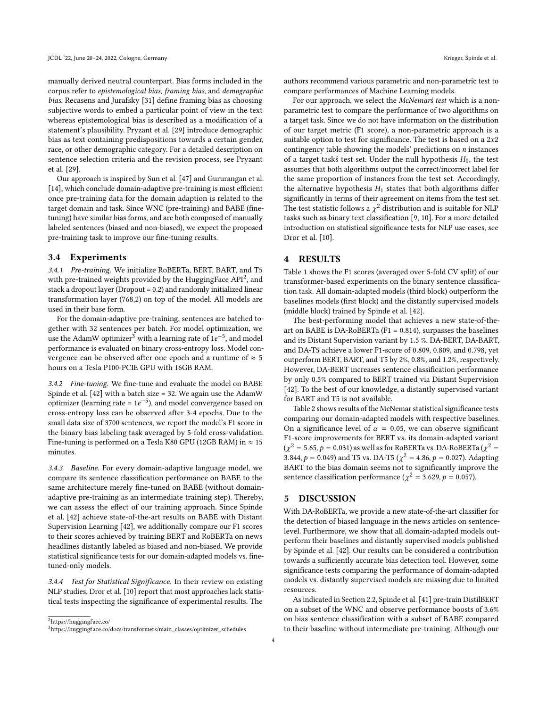manually derived neutral counterpart. Bias forms included in the corpus refer to epistemological bias, framing bias, and demographic bias. Recasens and Jurafsky [\[31\]](#page-5-19) define framing bias as choosing subjective words to embed a particular point of view in the text whereas epistemological bias is described as a modification of a statement's plausibility. Pryzant et al. [\[29\]](#page-5-18) introduce demographic bias as text containing predispositions towards a certain gender, race, or other demographic category. For a detailed description on sentence selection criteria and the revision process, see Pryzant et al. [\[29\]](#page-5-18).

Our approach is inspired by Sun et al. [\[47\]](#page-6-4) and Gururangan et al. [\[14\]](#page-5-12), which conclude domain-adaptive pre-training is most efficient once pre-training data for the domain adaption is related to the target domain and task. Since WNC (pre-training) and BABE (finetuning) have similar bias forms, and are both composed of manually labeled sentences (biased and non-biased), we expect the proposed pre-training task to improve our fine-tuning results.

# <span id="page-3-0"></span>3.4 Experiments

3.4.1 Pre-training. We initialize RoBERTa, BERT, BART, and T5 with pre-trained weights provided by the HuggingFace API<sup>[2](#page-3-1)</sup>, and stack a dropout layer (Dropout = 0.2) and randomly initialized linear transformation layer (768,2) on top of the model. All models are used in their base form.

For the domain-adaptive pre-training, sentences are batched together with 32 sentences per batch. For model optimization, we use the AdamW optimizer<sup>[3](#page-3-2)</sup> with a learning rate of  $1e^{-5}$ , and model performance is evaluated on binary cross-entropy loss. Model convergence can be observed after one epoch and a runtime of  $\approx$  5 hours on a Tesla P100-PCIE GPU with 16GB RAM.

3.4.2 Fine-tuning. We fine-tune and evaluate the model on BABE Spinde et al. [\[42\]](#page-6-1) with a batch size = 32. We again use the AdamW optimizer (learning rate =  $1e^{-5}$ ), and model convergence based on cross-entropy loss can be observed after 3-4 epochs. Due to the small data size of 3700 sentences, we report the model's F1 score in the binary bias labeling task averaged by 5-fold cross-validation. Fine-tuning is performed on a Tesla K80 GPU (12GB RAM) in  $\approx$  15 minutes.

3.4.3 Baseline. For every domain-adaptive language model, we compare its sentence classification performance on BABE to the same architecture merely fine-tuned on BABE (without domainadaptive pre-training as an intermediate training step). Thereby, we can assess the effect of our training approach. Since Spinde et al. [\[42\]](#page-6-1) achieve state-of-the-art results on BABE with Distant Supervision Learning [\[42\]](#page-6-1), we additionally compare our F1 scores to their scores achieved by training BERT and RoBERTa on news headlines distantly labeled as biased and non-biased. We provide statistical significance tests for our domain-adapted models vs. finetuned-only models.

3.4.4 Test for Statistical Significance. In their review on existing NLP studies, Dror et al. [\[10\]](#page-5-33) report that most approaches lack statistical tests inspecting the significance of experimental results. The

level. Furthermore, we show that all domain-adapted models outperform their baselines and distantly supervised models published by Spinde et al. [\[42\]](#page-6-1). Our results can be considered a contribution towards a sufficiently accurate bias detection tool. However, some significance tests comparing the performance of domain-adapted models vs. distantly supervised models are missing due to limited resources.

With DA-RoBERTa, we provide a new state-of-the-art classifier for the detection of biased language in the news articles on sentence-

As indicated in Section [2.2,](#page-1-0) Spinde et al. [\[41\]](#page-5-11) pre-train DistilBERT on a subset of the WNC and observe performance boosts of 3.6% on bias sentence classification with a subset of BABE compared to their baseline without intermediate pre-training. Although our

authors recommend various parametric and non-parametric test to compare performances of Machine Learning models.

For our approach, we select the McNemarś test which is a nonparametric test to compare the performance of two algorithms on a target task. Since we do not have information on the distribution of our target metric (F1 score), a non-parametric approach is a suitable option to test for significance. The test is based on a  $2x2$ contingency table showing the models' predictions on  $n$  instances of a target taskś test set. Under the null hypothesis  $H_0$ , the test assumes that both algorithms output the correct/incorrect label for the same proportion of instances from the test set. Accordingly, the alternative hypothesis  $H_1$  states that both algorithms differ significantly in terms of their agreement on items from the test set. The test statistic follows a  $\chi^2$  distribution and is suitable for NLP tasks such as binary text classification [\[9,](#page-5-34) [10\]](#page-5-33). For a more detailed introduction on statistical significance tests for NLP use cases, see Dror et al. [\[10\]](#page-5-33).

# 4 RESULTS

Table [1](#page-4-3) shows the F1 scores (averaged over 5-fold CV split) of our transformer-based experiments on the binary sentence classification task. All domain-adapted models (third block) outperform the baselines models (first block) and the distantly supervised models (middle block) trained by Spinde et al. [\[42\]](#page-6-1).

The best-performing model that achieves a new state-of-theart on BABE is DA-RoBERTa (F1 = 0.814), surpasses the baselines and its Distant Supervision variant by 1.5 %. DA-BERT, DA-BART, and DA-T5 achieve a lower F1-score of 0.809, 0.809, and 0.798, yet outperform BERT, BART, and T5 by 2%, 0.8%, and 1.2%, respectively. However, DA-BERT increases sentence classification performance by only 0.5% compared to BERT trained via Distant Supervision [\[42\]](#page-6-1). To the best of our knowledge, a distantly supervised variant for BART and T5 is not available.

Table [2](#page-4-4) shows results of the McNemar statistical significance tests comparing our domain-adapted models with respective baselines. On a significance level of  $\alpha = 0.05$ , we can observe significant F1-score improvements for BERT vs. its domain-adapted variant ( $\chi^2 = 5.65, p = 0.031$ ) as well as for RoBERTa vs. DA-RoBERTa ( $\chi^2 =$ 3.844,  $p = 0.049$ ) and T5 vs. DA-T5 ( $\chi^2 = 4.86$ ,  $p = 0.027$ ). Adapting BART to the bias domain seems not to significantly improve the sentence classification performance ( $\chi^2 = 3.629$ ,  $p = 0.057$ ).

# 5 DISCUSSION

<span id="page-3-2"></span><span id="page-3-1"></span><sup>2</sup><https://huggingface.co/> <sup>3</sup>[https://huggingface.co/docs/transformers/main\\_classes/optimizer\\_schedules](https://huggingface.co/docs/transformers/main_classes/optimizer_schedules)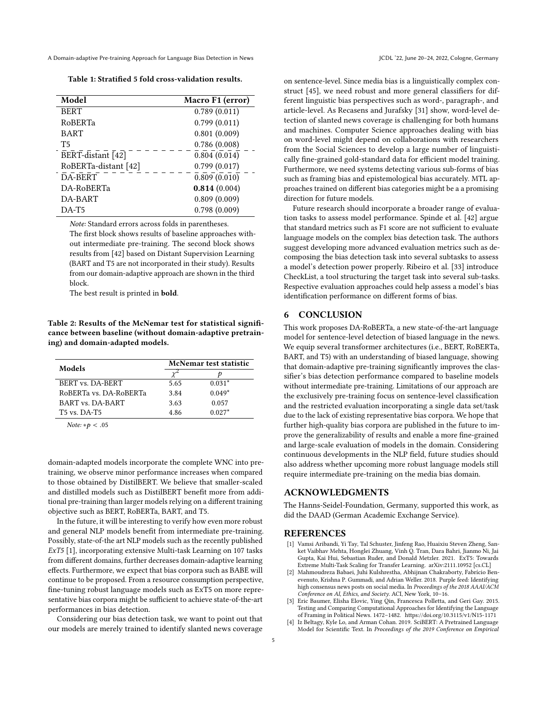A Domain-adaptive Pre-training Approach for Language Bias Detection in News JCDL '22, June 20-24, 2022, Cologne, Germany

Table 1: Stratified 5 fold cross-validation results.

<span id="page-4-3"></span>

| Model                | Macro F1 (error)                         |  |
|----------------------|------------------------------------------|--|
| <b>BERT</b>          | 0.789(0.011)                             |  |
| RoBERTa              | 0.799(0.011)                             |  |
| <b>BART</b>          | 0.801(0.009)                             |  |
| T5                   | 0.786(0.008)                             |  |
| BERT-distant [42]    | $\overline{0.804}$ $\overline{(0.014)}$  |  |
| RoBERTa-distant [42] | 0.799(0.017)                             |  |
| DA-BERT              | $\overline{0.809} \, \overline{(0.010)}$ |  |
| DA-RoBERTa           | 0.814(0.004)                             |  |
| DA-BART              | 0.809(0.009)                             |  |
| $DA-T5$              | 0.798(0.009)                             |  |

Note: Standard errors across folds in parentheses.

The first block shows results of baseline approaches without intermediate pre-training. The second block shows results from [\[42\]](#page-6-1) based on Distant Supervision Learning (BART and T5 are not incorporated in their study). Results from our domain-adaptive approach are shown in the third block.

The best result is printed in bold.

Table 2: Results of the McNemar test for statistical significance between baseline (without domain-adaptive pretraining) and domain-adapted models.

<span id="page-4-4"></span>

| Models                                          | McNemar test statistic |          |
|-------------------------------------------------|------------------------|----------|
|                                                 |                        |          |
| BERT vs. DA-BERT                                | 5.65                   | $0.031*$ |
| ROBERTa vs. DA-ROBERTa                          | 3.84                   | $0.049*$ |
| BART vs. DA-BART                                | 3.63                   | 0.057    |
| T <sub>5</sub> v <sub>s</sub> DA-T <sub>5</sub> | 4.86                   | $0.027*$ |

Note:  $*p < .05$ 

domain-adapted models incorporate the complete WNC into pretraining, we observe minor performance increases when compared to those obtained by DistilBERT. We believe that smaller-scaled and distilled models such as DistilBERT benefit more from additional pre-training than larger models relying on a different training objective such as BERT, RoBERTa, BART, and T5.

In the future, it will be interesting to verify how even more robust and general NLP models benefit from intermediate pre-training. Possibly, state-of-the art NLP models such as the recently published ExT5 [\[1\]](#page-4-5), incorporating extensive Multi-task Learning on 107 tasks from different domains, further decreases domain-adaptive learning effects. Furthermore, we expect that bias corpora such as BABE will continue to be proposed. From a resource consumption perspective, fine-tuning robust language models such as ExT5 on more representative bias corpora might be sufficient to achieve state-of-the-art performances in bias detection.

Considering our bias detection task, we want to point out that our models are merely trained to identify slanted news coverage on sentence-level. Since media bias is a linguistically complex construct [\[45\]](#page-6-3), we need robust and more general classifiers for different linguistic bias perspectives such as word-, paragraph-, and article-level. As Recasens and Jurafsky [\[31\]](#page-5-19) show, word-level detection of slanted news coverage is challenging for both humans and machines. Computer Science approaches dealing with bias on word-level might depend on collaborations with researchers from the Social Sciences to develop a large number of linguistically fine-grained gold-standard data for efficient model training. Furthermore, we need systems detecting various sub-forms of bias such as framing bias and epistemological bias accurately. MTL approaches trained on different bias categories might be a a promising direction for future models.

Future research should incorporate a broader range of evaluation tasks to assess model performance. Spinde et al. [\[42\]](#page-6-1) argue that standard metrics such as F1 score are not sufficient to evaluate language models on the complex bias detection task. The authors suggest developing more advanced evaluation metrics such as decomposing the bias detection task into several subtasks to assess a model's detection power properly. Ribeiro et al. [\[33\]](#page-5-35) introduce CheckList, a tool structuring the target task into several sub-tasks. Respective evaluation approaches could help assess a model's bias identification performance on different forms of bias.

# 6 CONCLUSION

This work proposes DA-RoBERTa, a new state-of-the-art language model for sentence-level detection of biased language in the news. We equip several transformer architectures (i.e., BERT, RoBERTa, BART, and T5) with an understanding of biased language, showing that domain-adaptive pre-training significantly improves the classifier's bias detection performance compared to baseline models without intermediate pre-training. Limitations of our approach are the exclusively pre-training focus on sentence-level classification and the restricted evaluation incorporating a single data set/task due to the lack of existing representative bias corpora. We hope that further high-quality bias corpora are published in the future to improve the generalizability of results and enable a more fine-grained and large-scale evaluation of models in the domain. Considering continuous developments in the NLP field, future studies should also address whether upcoming more robust language models still require intermediate pre-training on the media bias domain.

# ACKNOWLEDGMENTS

The Hanns-Seidel-Foundation, Germany, supported this work, as did the DAAD (German Academic Exchange Service).

# **REFERENCES**

- <span id="page-4-5"></span>Vamsi Aribandi, Yi Tay, Tal Schuster, Jinfeng Rao, Huaixiu Steven Zheng, Sanket Vaibhav Mehta, Honglei Zhuang, Vinh Q. Tran, Dara Bahri, Jianmo Ni, Jai Gupta, Kai Hui, Sebastian Ruder, and Donald Metzler. 2021. ExT5: Towards Extreme Multi-Task Scaling for Transfer Learning. arXiv[:2111.10952](https://arxiv.org/abs/2111.10952) [cs.CL]
- <span id="page-4-0"></span>[2] Mahmoudreza Babaei, Juhi Kulshrestha, Abhijnan Chakraborty, Fabrício Benevenuto, Krishna P. Gummadi, and Adrian Weller. 2018. Purple feed: Identifying high consensus news posts on social media. In Proceedings of the 2018 AAAI/ACM Conference on AI, Ethics, and Society. ACI, New York, 10–16.
- <span id="page-4-2"></span>[3] Eric Baumer, Elisha Elovic, Ying Qin, Francesca Polletta, and Geri Gay. 2015. Testing and Comparing Computational Approaches for Identifying the Language of Framing in Political News. 1472–1482.<https://doi.org/10.3115/v1/N15-1171>
- <span id="page-4-1"></span>[4] Iz Beltagy, Kyle Lo, and Arman Cohan. 2019. SciBERT: A Pretrained Language Model for Scientific Text. In Proceedings of the 2019 Conference on Empirical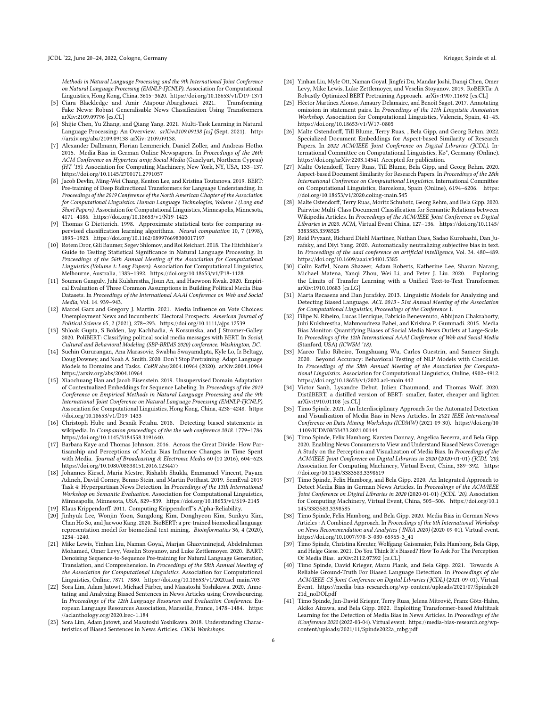Methods in Natural Language Processing and the 9th International Joint Conference on Natural Language Processing (EMNLP-IJCNLP). Association for Computational Linguistics, Hong Kong, China, 3615–3620.<https://doi.org/10.18653/v1/D19-1371>

- <span id="page-5-31"></span>[5] Ciara Blackledge and Amir Atapour-Abarghouei. 2021. Transforming Fake News: Robust Generalisable News Classification Using Transformers. arXiv[:2109.09796](https://arxiv.org/abs/2109.09796) [cs.CL]
- <span id="page-5-28"></span>[6] Shijie Chen, Yu Zhang, and Qiang Yang. 2021. Multi-Task Learning in Natural Language Processing: An Overview. arXiv:2109.09138 [cs] (Sept. 2021). [http:](http://arxiv.org/abs/2109.09138) [//arxiv.org/abs/2109.09138](http://arxiv.org/abs/2109.09138) arXiv: 2109.09138.
- <span id="page-5-0"></span>[7] Alexander Dallmann, Florian Lemmerich, Daniel Zoller, and Andreas Hotho. 2015. Media Bias in German Online Newspapers. In Proceedings of the 26th ACM Conference on Hypertext amp; Social Media (Guzelyurt, Northern Cyprus) (HT '15). Association for Computing Machinery, New York, NY, USA, 133–137. <https://doi.org/10.1145/2700171.2791057>
- <span id="page-5-10"></span>[8] Jacob Devlin, Ming-Wei Chang, Kenton Lee, and Kristina Toutanova. 2019. BERT: Pre-training of Deep Bidirectional Transformers for Language Understanding. In Proceedings of the 2019 Conference of the North American Chapter of the Association for Computational Linguistics: Human Language Technologies, Volume 1 (Long and Short Papers). Association for Computational Linguistics, Minneapolis, Minnesota, 4171–4186.<https://doi.org/10.18653/v1/N19-1423>
- <span id="page-5-34"></span>[9] Thomas G Dietterich. 1998. Approximate statistical tests for comparing supervised classification learning algorithms. Neural computation 10, 7 (1998), 1895–1923.<https://doi.org/10.1162/089976698300017197>
- <span id="page-5-33"></span>[10] Rotem Dror, Gili Baumer, Segev Shlomov, and Roi Reichart. 2018. The Hitchhiker's Guide to Testing Statistical Significance in Natural Language Processing. In Proceedings of the 56th Annual Meeting of the Association for Computational Linguistics (Volume 1: Long Papers). Association for Computational Linguistics, Melbourne, Australia, 1383–1392.<https://doi.org/10.18653/v1/P18-1128>
- <span id="page-5-7"></span>[11] Soumen Ganguly, Juhi Kulshrestha, Jisun An, and Haewoon Kwak. 2020. Empirical Evaluation of Three Common Assumptions in Building Political Media Bias Datasets. In Proceedings of the International AAAI Conference on Web and Social Media, Vol. 14. 939–943.
- <span id="page-5-1"></span>[12] Marcel Garz and Gregory J. Martin. 2021. Media Influence on Vote Choices: Unemployment News and Incumbents' Electoral Prospects. American Journal of Political Science 65, 2 (2021), 278–293.<https://doi.org/10.1111/ajps.12539>
- <span id="page-5-32"></span>[13] Shloak Gupta, S Bolden, Jay Kachhadia, A Korsunska, and J Stromer-Galley. 2020. PoliBERT: Classifying political social media messages with BERT. In Social, Cultural and Behavioral Modeling (SBP-BRIMS 2020) conference. Washington, DC.
- <span id="page-5-12"></span>[14] Suchin Gururangan, Ana Marasovic, Swabha Swayamdipta, Kyle Lo, Iz Beltagy, Doug Downey, and Noah A. Smith. 2020. Don't Stop Pretraining: Adapt Language Models to Domains and Tasks. CoRR abs/2004.10964 (2020). arXiv[:2004.10964](https://arxiv.org/abs/2004.10964) <https://arxiv.org/abs/2004.10964>
- <span id="page-5-13"></span>[15] Xiaochuang Han and Jacob Eisenstein. 2019. Unsupervised Domain Adaptation of Contextualized Embeddings for Sequence Labeling. In Proceedings of the 2019 Conference on Empirical Methods in Natural Language Processing and the 9th International Joint Conference on Natural Language Processing (EMNLP-IJCNLP). Association for Computational Linguistics, Hong Kong, China, 4238–4248. [https:](https://doi.org/10.18653/v1/D19-1433) [//doi.org/10.18653/v1/D19-1433](https://doi.org/10.18653/v1/D19-1433)
- <span id="page-5-20"></span>[16] Christoph Hube and Besnik Fetahu. 2018. Detecting biased statements in wikipedia. In Companion proceedings of the the web conference 2018. 1779–1786. <https://doi.org/10.1145/3184558.3191640.>
- <span id="page-5-2"></span>[17] Barbara Kaye and Thomas Johnson. 2016. Across the Great Divide: How Partisanship and Perceptions of Media Bias Influence Changes in Time Spent with Media. Journal of Broadcasting & Electronic Media 60 (10 2016), 604–623. <https://doi.org/10.1080/08838151.2016.1234477>
- <span id="page-5-29"></span>[18] Johannes Kiesel, Maria Mestre, Rishabh Shukla, Emmanuel Vincent, Payam Adineh, David Corney, Benno Stein, and Martin Potthast. 2019. SemEval-2019 Task 4: Hyperpartisan News Detection. In Proceedings of the 13th International Workshop on Semantic Evaluation. Association for Computational Linguistics, Minneapolis, Minnesota, USA, 829–839.<https://doi.org/10.18653/v1/S19-2145> [19] Klaus Krippendorff. 2011. Computing Krippendorff's Alpha-Reliability.
- <span id="page-5-22"></span><span id="page-5-14"></span>
- [20] Jinhyuk Lee, Wonjin Yoon, Sungdong Kim, Donghyeon Kim, Sunkyu Kim, Chan Ho So, and Jaewoo Kang. 2020. BioBERT: a pre-trained biomedical language representation model for biomedical text mining. Bioinformatics 36, 4 (2020), 1234–1240.
- <span id="page-5-16"></span>[21] Mike Lewis, Yinhan Liu, Naman Goyal, Marjan Ghazvininejad, Abdelrahman Mohamed, Omer Levy, Veselin Stoyanov, and Luke Zettlemoyer. 2020. BART: Denoising Sequence-to-Sequence Pre-training for Natural Language Generation, Translation, and Comprehension. In Proceedings of the 58th Annual Meeting of the Association for Computational Linguistics. Association for Computational Linguistics, Online, 7871–7880.<https://doi.org/10.18653/v1/2020.acl-main.703>
- <span id="page-5-8"></span>[22] Sora Lim, Adam Jatowt, Michael Färber, and Masatoshi Yoshikawa. 2020. Annotating and Analyzing Biased Sentences in News Articles using Crowdsourcing. In Proceedings of the 12th Language Resources and Evaluation Conference. European Language Resources Association, Marseille, France, 1478–1484. [https:](https://aclanthology.org/2020.lrec-1.184) [//aclanthology.org/2020.lrec-1.184](https://aclanthology.org/2020.lrec-1.184)
- <span id="page-5-21"></span>[23] Sora Lim, Adam Jatowt, and Masatoshi Yoshikawa. 2018. Understanding Characteristics of Biased Sentences in News Articles. CIKM Workshops.
- <span id="page-5-15"></span>[24] Yinhan Liu, Myle Ott, Naman Goyal, Jingfei Du, Mandar Joshi, Danqi Chen, Omer Levy, Mike Lewis, Luke Zettlemoyer, and Veselin Stoyanov. 2019. RoBERTa: A Robustly Optimized BERT Pretraining Approach. arXiv[:1907.11692](https://arxiv.org/abs/1907.11692) [cs.CL]
- <span id="page-5-6"></span>[25] Héctor Martínez Alonso, Amaury Delamaire, and Benoît Sagot. 2017. Annotating omission in statement pairs. In Proceedings of the 11th Linguistic Annotation Workshop. Association for Computational Linguistics, Valencia, Spain, 41–45. <https://doi.org/10.18653/v1/W17-0805>
- <span id="page-5-25"></span>[26] Malte Ostendorff, Till Blume, Terry Ruas, , Bela Gipp, and Georg Rehm. 2022. Specialized Document Embeddings for Aspect-based Similarity of Research Papers. In 2022 ACM/IEEE Joint Conference on Digital Libraries (JCDL). International Committee on Computational Linguistics, Kø", Germany (Online). <https://doi.org/arXiv:2203.14541> Accepted for publication.
- [27] Malte Ostendorff, Terry Ruas, Till Blume, Bela Gipp, and Georg Rehm. 2020. Aspect-based Document Similarity for Research Papers. In Proceedings of the 28th International Conference on Computational Linguistics. International Committee on Computational Linguistics, Barcelona, Spain (Online), 6194–6206. [https:](https://doi.org/10.18653/v1/2020.coling-main.545) [//doi.org/10.18653/v1/2020.coling-main.545](https://doi.org/10.18653/v1/2020.coling-main.545)
- <span id="page-5-26"></span>[28] Malte Ostendorff, Terry Ruas, Moritz Schubotz, Georg Rehm, and Bela Gipp. 2020. Pairwise Multi-Class Document Classification for Semantic Relations between Wikipedia Articles. In Proceedings of the ACM/IEEE Joint Conference on Digital Libraries in 2020. ACM, Virtual Event China, 127–136. [https://doi.org/10.1145/](https://doi.org/10.1145/3383583.3398525) [3383583.3398525](https://doi.org/10.1145/3383583.3398525)
- <span id="page-5-18"></span>[29] Reid Pryzant, Richard Diehl Martinez, Nathan Dass, Sadao Kurohashi, Dan Jurafsky, and Diyi Yang. 2020. Automatically neutralizing subjective bias in text. In Proceedings of the aaai conference on artificial intelligence, Vol. 34. 480–489. <https://doi.org/10.1609/aaai.v34i01.5385>
- <span id="page-5-17"></span>[30] Colin Raffel, Noam Shazeer, Adam Roberts, Katherine Lee, Sharan Narang, Michael Matena, Yanqi Zhou, Wei Li, and Peter J. Liu. 2020. Exploring the Limits of Transfer Learning with a Unified Text-to-Text Transformer. arXiv[:1910.10683](https://arxiv.org/abs/1910.10683) [cs.LG]
- <span id="page-5-19"></span>[31] Marta Recasens and Dan Jurafsky. 2013. Linguistic Models for Analyzing and Detecting Biased Language. ACL 2013 - 51st Annual Meeting of the Association for Computational Linguistics, Proceedings of the Conference 1.
- <span id="page-5-3"></span>[32] Filipe N. Ribeiro, Lucas Henrique, Fabricio Benevenuto, Abhijnan Chakraborty, Juhi Kulshrestha, Mahmoudreza Babei, and Krishna P. Gummadi. 2015. Media Bias Monitor: Quantifying Biases of Social Media News Outlets at Large-Scale. In Proceedings of the 12th International AAAI Conference of Web and Social Media (Stanford, USA) (ICWSM '18).
- <span id="page-5-35"></span>[33] Marco Tulio Ribeiro, Tongshuang Wu, Carlos Guestrin, and Sameer Singh. 2020. Beyond Accuracy: Behavioral Testing of NLP Models with CheckList. In Proceedings of the 58th Annual Meeting of the Association for Computational Linguistics. Association for Computational Linguistics, Online, 4902–4912. <https://doi.org/10.18653/v1/2020.acl-main.442>
- <span id="page-5-27"></span>[34] Victor Sanh, Lysandre Debut, Julien Chaumond, and Thomas Wolf. 2020. DistilBERT, a distilled version of BERT: smaller, faster, cheaper and lighter. arXiv[:1910.01108](https://arxiv.org/abs/1910.01108) [cs.CL]
- <span id="page-5-5"></span>[35] Timo Spinde. 2021. An Interdisciplinary Approach for the Automated Detection and Visualization of Media Bias in News Articles. In 2021 IEEE International Conference on Data Mining Workshops (ICDMW) (2021-09-30). [https://doi.org/10](https://doi.org/10.1109/ICDMW53433.2021.00144) [.1109/ICDMW53433.2021.00144](https://doi.org/10.1109/ICDMW53433.2021.00144)
- <span id="page-5-4"></span>[36] Timo Spinde, Felix Hamborg, Karsten Donnay, Angelica Becerra, and Bela Gipp. 2020. Enabling News Consumers to View and Understand Biased News Coverage: A Study on the Perception and Visualization of Media Bias. In Proceedings of the ACM/IEEE Joint Conference on Digital Libraries in 2020 (2020-01-01) (JCDL '20). Association for Computing Machinery, Virtual Event, China, 389–392. [https:](https://doi.org/10.1145/3383583.3398619) [//doi.org/10.1145/3383583.3398619](https://doi.org/10.1145/3383583.3398619)
- <span id="page-5-23"></span>[37] Timo Spinde, Felix Hamborg, and Bela Gipp. 2020. An Integrated Approach to Detect Media Bias in German News Articles. In Proceedings of the ACM/IEEE Joint Conference on Digital Libraries in 2020 (2020-01-01) (JCDL '20). Association for Computing Machinery, Virtual Event, China, 505–506. [https://doi.org/10.1](https://doi.org/10.1145/3383583.3398585) [145/3383583.3398585](https://doi.org/10.1145/3383583.3398585)
- <span id="page-5-24"></span>[38] Timo Spinde, Felix Hamborg, and Bela Gipp. 2020. Media Bias in German News Articles : A Combined Approach. In Proceedings of the 8th International Workshop on News Recommendation and Analytics ( INRA 2020) (2020-09-01). Virtual event. [https://doi.org/10.1007/978-3-030-65965-3\\_41](https://doi.org/10.1007/978-3-030-65965-3_41)
- <span id="page-5-9"></span>[39] Timo Spinde, Christina Kreuter, Wolfgang Gaissmaier, Felix Hamborg, Bela Gipp, and Helge Giese. 2021. Do You Think It's Biased? How To Ask For The Perception Of Media Bias. arXiv[:2112.07392](https://arxiv.org/abs/2112.07392) [cs.CL]
- <span id="page-5-30"></span>[40] Timo Spinde, David Krieger, Manu Plank, and Bela Gipp. 2021. Towards A Reliable Ground-Truth For Biased Language Detection. In Proceedings of the ACM/IEEE-CS Joint Conference on Digital Libraries (JCDL) (2021-09-01). Virtual Event. [https://media-bias-research.org/wp-content/uploads/2021/07/Spinde20](https://media-bias-research.org/wp-content/uploads/2021/07/Spinde2021d_noDOI.pdf) [21d\\_noDOI.pdf](https://media-bias-research.org/wp-content/uploads/2021/07/Spinde2021d_noDOI.pdf)
- <span id="page-5-11"></span>[41] Timo Spinde, Jan-David Krieger, Terry Ruas, Jelena Mitrović, Franz Götz-Hahn, Akiko Aizawa, and Bela Gipp. 2022. Exploiting Transformer-based Multitask Learning for the Detection of Media Bias in News Articles. In Proceedings of the iConference 2022 (2022-03-04). Virtual event. [https://media-bias-research.org/wp](https://media-bias-research.org/wp-content/uploads/2021/11/Spinde2022a_mbg.pdf)[content/uploads/2021/11/Spinde2022a\\_mbg.pdf](https://media-bias-research.org/wp-content/uploads/2021/11/Spinde2022a_mbg.pdf)